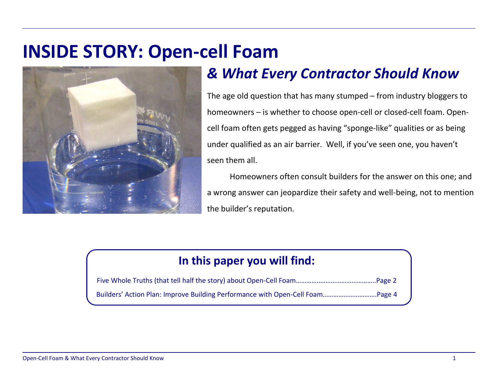# **INSIDE STORY: Open-cell Foam**



# & What Every Contractor Should Know

The age old question that has many stumped – from industry bloggers to homeowners - is whether to choose open-cell or closed-cell foam. Opencell foam often gets pegged as having "sponge-like" qualities or as being under qualified as an air barrier. Well, if you've seen one, you haven't seen them all.

Homeowners often consult builders for the answer on this one; and a wrong answer can jeopardize their safety and well-being, not to mention the builder's reputation.

### In this paper you will find: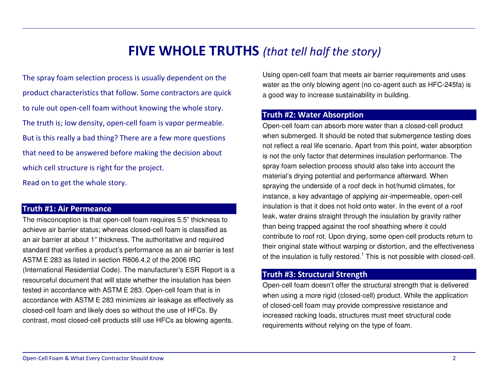## $\boldsymbol{\mathsf{FIVE}}$   $\boldsymbol{\mathsf{WHOLE}}$   $\boldsymbol{\mathsf{TRUTHS}}$  (that tell half the story)

The spray foam selection process is usually dependent on the product characteristics that follow. Some contractors are quick to rule out open-cell foam without knowing the whole story. The truth is; low density, open-cell foam is vapor permeable. But is this really a bad thing? There are a few more questions that need to be answered before making the decision about which cell structure is right for the project.

Read on to get the whole story.

#### Truth #1: Air Permeance

The misconception is that open-cell foam requires 5.5" thickness to achieve air barrier status; whereas closed-cell foam is classified as an air barrier at about 1" thickness. The authoritative and required standard that verifies <sup>a</sup> product's performance as an air barrier is test ASTM E 283 as listed in section R806.4.2 of the 2006 IRC (International Residential Code). The manufacturer's ESR Report is <sup>a</sup> resourceful document that will state whether the insulation has been tested in accordance with ASTM E 283. Open-cell foam that is in accordance with ASTM E 283 minimizes air leakage as effectively as closed-cell foam and likely does so without the use of HFCs. By contrast, most closed-cell products still use HFCs as blowing agents.

Using open-cell foam that meets air barrier requirements and uses water as the only blowing agent (no co-agent such as HFC-245fa) is a good way to increase sustainability in building.

#### Truth #2: Water Absorption

Open-cell foam can absorb more water than <sup>a</sup> closed-cell product when submerged. It should be noted that submergence testing does not reflect a real life scenario. Apart from this point, water absorption is not the only factor that determines insulation performance. The spray foam selection process should also take into account the material's drying potential and performance afterward. When spraying the underside of <sup>a</sup> roof deck in hot/humid climates, for instance, <sup>a</sup> key advantage of applying air-impermeable, open-cell insulation is that it does not hold onto water. In the event of a roof leak, water drains straight through the insulation by gravity rather than being trapped against the roof sheathing where it could contribute to roof rot. Upon drying, some open-cell products return to their original state without warping or distortion, and the effectiveness of the insulation is fully restored.<sup>1</sup> This is not possible with closed-cell.

#### Truth #3: Structural Strength

Open-cell foam doesn't offer the structural strength that is delivered when using <sup>a</sup> more rigid (closed-cell) product. While the application of closed-cell foam may provide compressive resistance and increased racking loads, structures must meet structural code requirements without relying on the type of foam.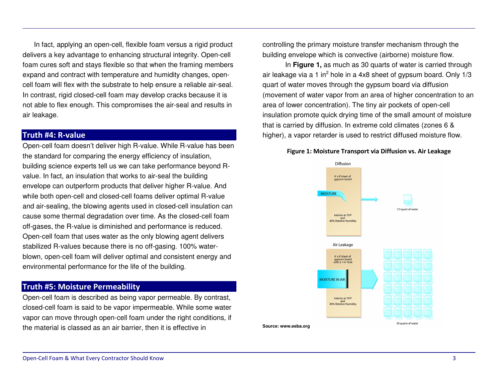In fact, applying an open-cell, flexible foam versus <sup>a</sup> rigid product delivers a key advantage to enhancing structural integrity. Open-cell foam cures soft and stays flexible so that when the framing members expand and contract with temperature and humidity changes, opencell foam will flex with the substrate to help ensure <sup>a</sup> reliable air-seal. In contrast, rigid closed-cell foam may develop cracks because it is not able to flex enough. This compromises the air-seal and results in air leakage.

#### Truth #4: R-value

Open-cell foam doesn't deliver high R-value. While R-value has been the standard for comparing the energy efficiency of insulation, building science experts tell us we can take performance beyond Rvalue. In fact, an insulation that works to air-seal the building envelope can outperform products that deliver higher R-value. And while both open-cell and closed-cell foams deliver optimal R-value and air-sealing, the blowing agents used in closed-cell insulation can cause some thermal degradation over time. As the closed-cell foam off-gases, the R-value is diminished and performance is reduced. Open-cell foam that uses water as the only blowing agent delivers stabilized R-values because there is no off-gasing. 100% waterblown, open-cell foam will deliver optimal and consistent energy and environmental performance for the life of the building.

#### Truth #5: Moisture Permeability

Open-cell foam is described as being vapor permeable. By contrast, closed-cell foam is said to be vapor impermeable. While some water vapor can move through open-cell foam under the right conditions, if the material is classed as an air barrier, then it is effective in

controlling the primary moisture transfer mechanism through the building envelope which is convective (airborne) moisture flow.

In **Figure 1,** as much as 30 quarts of water is carried through air leakage via a 1 in<sup>2</sup> hole in a 4x8 sheet of gypsum board. Only 1/3 quart of water moves through the gypsum board via diffusion (movement of water vapor from an area of higher concentration to an area of lower concentration). The tiny air pockets of open-cell insulation promote quick drying time of the small amount of moisture that is carried by diffusion. In extreme cold climates (zones 6 & higher), <sup>a</sup> vapor retarder is used to restrict diffused moisture flow.

#### Figure 1: Moisture Transport via Diffusion vs. Air Leakage

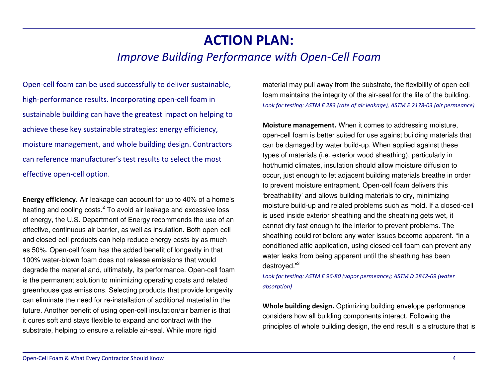## ACTION PLAN:

### Improve Building Performance with Open-Cell Foam

Open-cell foam can be used successfully to deliver sustainable, high-performance results. Incorporating open-cell foam in sustainable building can have the greatest impact on helping to achieve these key sustainable strategies: energy efficiency, moisture management, and whole building design. Contractors can reference manufacturer's test results to select the most effective open-cell option.

Energy efficiency. Air leakage can account for up to 40% of a home's heating and cooling costs.<sup>2</sup> To avoid air leakage and excessive loss of energy, the U.S. Department of Energy recommends the use of an effective, continuous air barrier, as well as insulation. Both open-cell and closed-cell products can help reduce energy costs by as much as 50%. Open-cell foam has the added benefit of longevity in that 100% water-blown foam does not release emissions that would degrade the material and, ultimately, its performance. Open-cell foam is the permanent solution to minimizing operating costs and related greenhouse gas emissions. Selecting products that provide longevity can eliminate the need for re-installation of additional material in the future. Another benefit of using open-cell insulation/air barrier is that it cures soft and stays flexible to expand and contract with the substrate, helping to ensure <sup>a</sup> reliable air-seal. While more rigid

material may pull away from the substrate, the flexibility of open-cell foam maintains the integrity of the air-seal for the life of the building. Look for testing: ASTM E 283 (rate of air leakage), ASTM E 2178-03 (air permeance)

**Moisture management.** When it comes to addressing moisture, open-cell foam is better suited for use against building materials that can be damaged by water build-up. When applied against these types of materials (i.e. exterior wood sheathing), particularly in hot/humid climates, insulation should allow moisture diffusion to occur, just enough to let adjacent building materials breathe in order to prevent moisture entrapment. Open-cell foam delivers this 'breathability' and allows building materials to dry, minimizing moisture build-up and related problems such as mold. If <sup>a</sup> closed-cell is used inside exterior sheathing and the sheathing gets wet, it cannot dry fast enough to the interior to prevent problems. The sheathing could rot before any water issues become apparent. "In <sup>a</sup> conditioned attic application, using closed-cell foam can prevent any water leaks from being apparent until the sheathing has been destroyed."<sup>3</sup>

Look for testing: ASTM E 96-80 (vapor permeance); ASTM D 2842-69 (water absorption)

Whole building design. Optimizing building envelope performance considers how all building components interact. Following the principles of whole building design, the end result is <sup>a</sup> structure that is